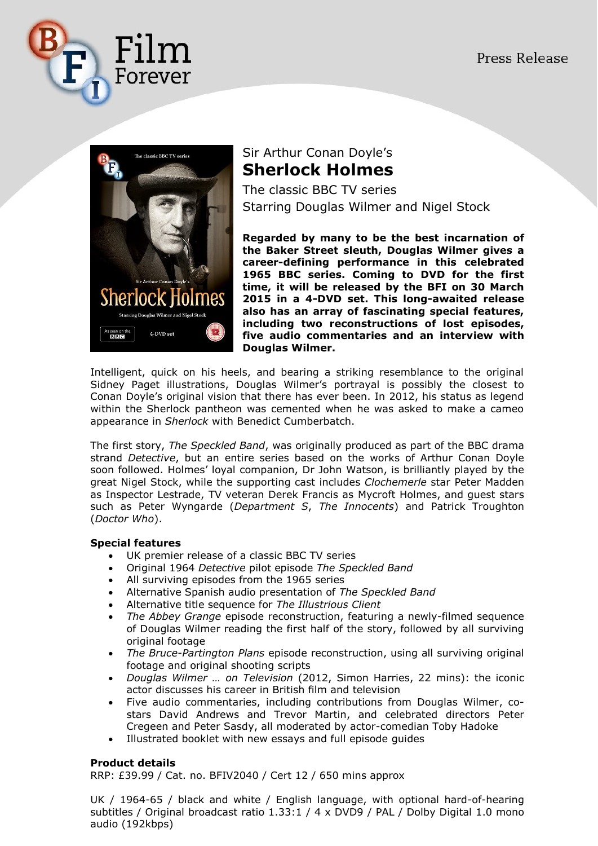



## Sir Arthur Conan Doyle's **Sherlock Holmes**

The classic BBC TV series Starring Douglas Wilmer and Nigel Stock

**Regarded by many to be the best incarnation of the Baker Street sleuth, Douglas Wilmer gives a career-defining performance in this celebrated 1965 BBC series. Coming to DVD for the first time, it will be released by the BFI on 30 March 2015 in a 4-DVD set. This long-awaited release also has an array of fascinating special features, including two reconstructions of lost episodes, five audio commentaries and an interview with Douglas Wilmer.**

Intelligent, quick on his heels, and bearing a striking resemblance to the original Sidney Paget illustrations, Douglas Wilmer's portrayal is possibly the closest to Conan Doyle's original vision that there has ever been. In 2012, his status as legend within the Sherlock pantheon was cemented when he was asked to make a cameo appearance in *Sherlock* with Benedict Cumberbatch.

The first story, *The Speckled Band*, was originally produced as part of the BBC drama strand *Detective*, but an entire series based on the works of Arthur Conan Doyle soon followed. Holmes' loyal companion, Dr John Watson, is brilliantly played by the great Nigel Stock, while the supporting cast includes *Clochemerle* star Peter Madden as Inspector Lestrade, TV veteran Derek Francis as Mycroft Holmes, and guest stars such as Peter Wyngarde (*Department S*, *The Innocents*) and Patrick Troughton (*Doctor Who*).

## **Special features**

- UK premier release of a classic BBC TV series
- Original 1964 *Detective* pilot episode *The Speckled Band*
- All surviving episodes from the 1965 series
- Alternative Spanish audio presentation of *The Speckled Band*
- Alternative title sequence for *The Illustrious Client*
- *The Abbey Grange* episode reconstruction, featuring a newly-filmed sequence of Douglas Wilmer reading the first half of the story, followed by all surviving original footage
- *The Bruce-Partington Plans* episode reconstruction, using all surviving original footage and original shooting scripts
- *Douglas Wilmer … on Television* (2012, Simon Harries, 22 mins): the iconic actor discusses his career in British film and television
- Five audio commentaries, including contributions from Douglas Wilmer, costars David Andrews and Trevor Martin, and celebrated directors Peter Cregeen and Peter Sasdy, all moderated by actor-comedian Toby Hadoke
- Illustrated booklet with new essays and full episode guides

## **Product details**

RRP: £39.99 / Cat. no. BFIV2040 / Cert 12 / 650 mins approx

UK / 1964-65 / black and white / English language, with optional hard-of-hearing subtitles / Original broadcast ratio 1.33:1 / 4 x DVD9 / PAL / Dolby Digital 1.0 mono audio (192kbps)